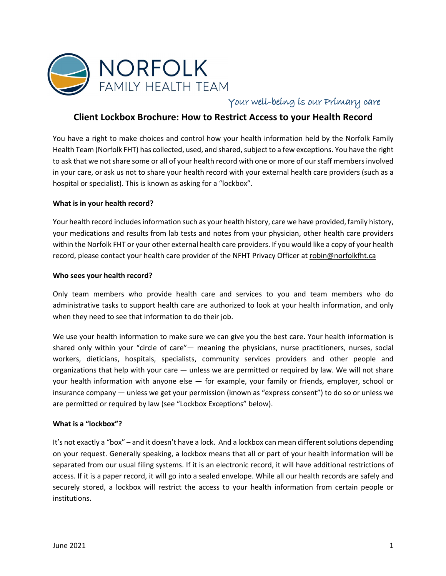

Your well-being is our Primary care

# **Client Lockbox Brochure: How to Restrict Access to your Health Record**

You have a right to make choices and control how your health information held by the Norfolk Family Health Team (Norfolk FHT) has collected, used, and shared, subject to a few exceptions. You have the right to ask that we not share some or all of your health record with one or more of ourstaff membersinvolved in your care, or ask us not to share your health record with your external health care providers (such as a hospital or specialist). This is known as asking for a "lockbox".

## **What is in your health record?**

Your health record includes information such as your health history, care we have provided, family history, your medications and results from lab tests and notes from your physician, other health care providers within the Norfolk FHT or your other external health care providers. If you would like a copy of your health record, please contact your health care provider of the NFHT Privacy Officer at robin@norfolkfht.ca

### **Who sees your health record?**

Only team members who provide health care and services to you and team members who do administrative tasks to support health care are authorized to look at your health information, and only when they need to see that information to do their job.

We use your health information to make sure we can give you the best care. Your health information is shared only within your "circle of care"— meaning the physicians, nurse practitioners, nurses, social workers, dieticians, hospitals, specialists, community services providers and other people and organizations that help with your care — unless we are permitted or required by law. We will not share your health information with anyone else — for example, your family or friends, employer, school or insurance company — unless we get your permission (known as "express consent") to do so or unless we are permitted or required by law (see "Lockbox Exceptions" below).

### **What is a "lockbox"?**

It's not exactly a "box" – and it doesn't have a lock. And a lockbox can mean different solutions depending on your request. Generally speaking, a lockbox means that all or part of your health information will be separated from our usual filing systems. If it is an electronic record, it will have additional restrictions of access. If it is a paper record, it will go into a sealed envelope. While all our health records are safely and securely stored, a lockbox will restrict the access to your health information from certain people or institutions.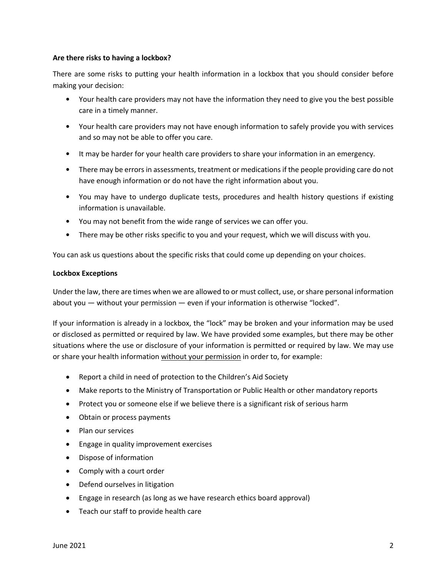### **Are there risks to having a lockbox?**

There are some risks to putting your health information in a lockbox that you should consider before making your decision:

- Your health care providers may not have the information they need to give you the best possible care in a timely manner.
- Your health care providers may not have enough information to safely provide you with services and so may not be able to offer you care.
- It may be harder for your health care providers to share your information in an emergency.
- There may be errors in assessments, treatment or medications if the people providing care do not have enough information or do not have the right information about you.
- You may have to undergo duplicate tests, procedures and health history questions if existing information is unavailable.
- You may not benefit from the wide range of services we can offer you.
- There may be other risks specific to you and your request, which we will discuss with you.

You can ask us questions about the specific risks that could come up depending on your choices.

### **Lockbox Exceptions**

Under the law, there are times when we are allowed to or must collect, use, or share personal information about you — without your permission — even if your information is otherwise "locked".

If your information is already in a lockbox, the "lock" may be broken and your information may be used or disclosed as permitted or required by law. We have provided some examples, but there may be other situations where the use or disclosure of your information is permitted or required by law. We may use or share your health information without your permission in order to, for example:

- Report a child in need of protection to the Children's Aid Society
- Make reports to the Ministry of Transportation or Public Health or other mandatory reports
- Protect you or someone else if we believe there is a significant risk of serious harm
- Obtain or process payments
- Plan our services
- Engage in quality improvement exercises
- Dispose of information
- Comply with a court order
- Defend ourselves in litigation
- Engage in research (as long as we have research ethics board approval)
- Teach our staff to provide health care